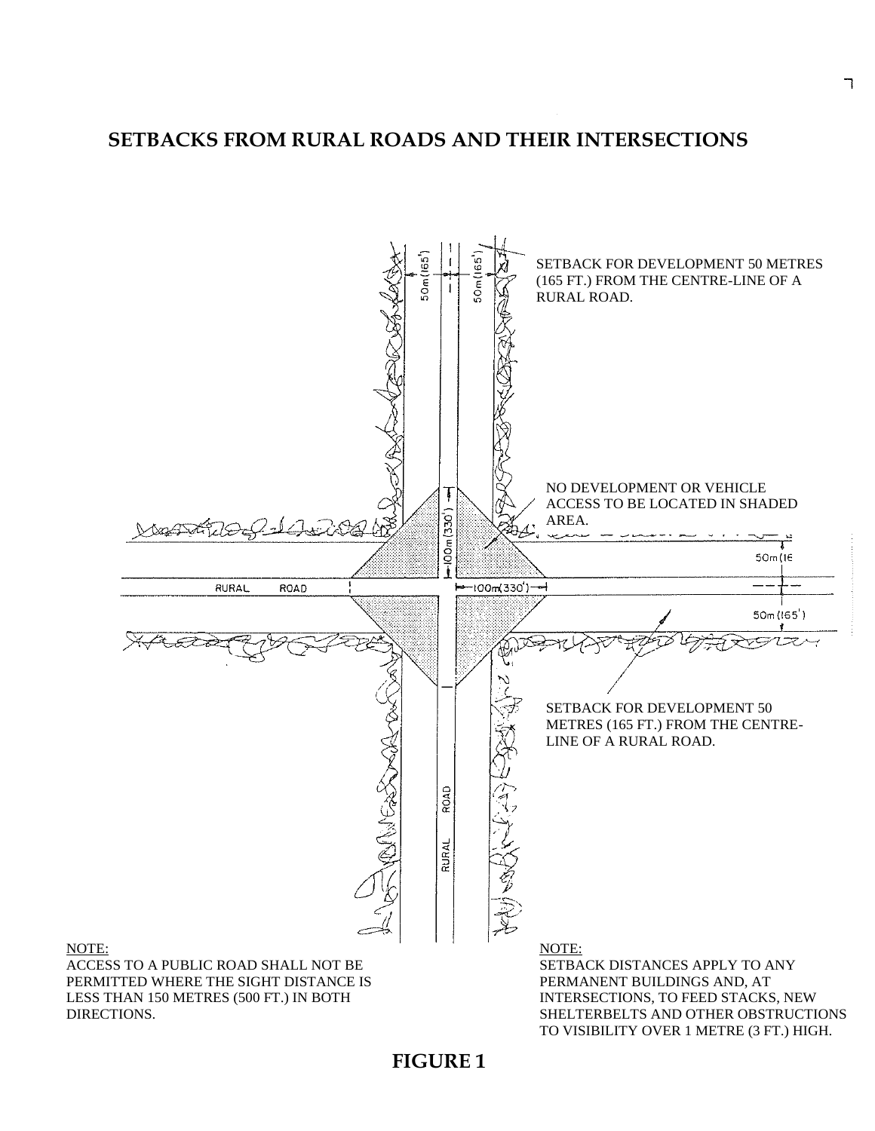# **SETBACKS FROM RURAL ROADS AND THEIR INTERSECTIONS SETBACKS**

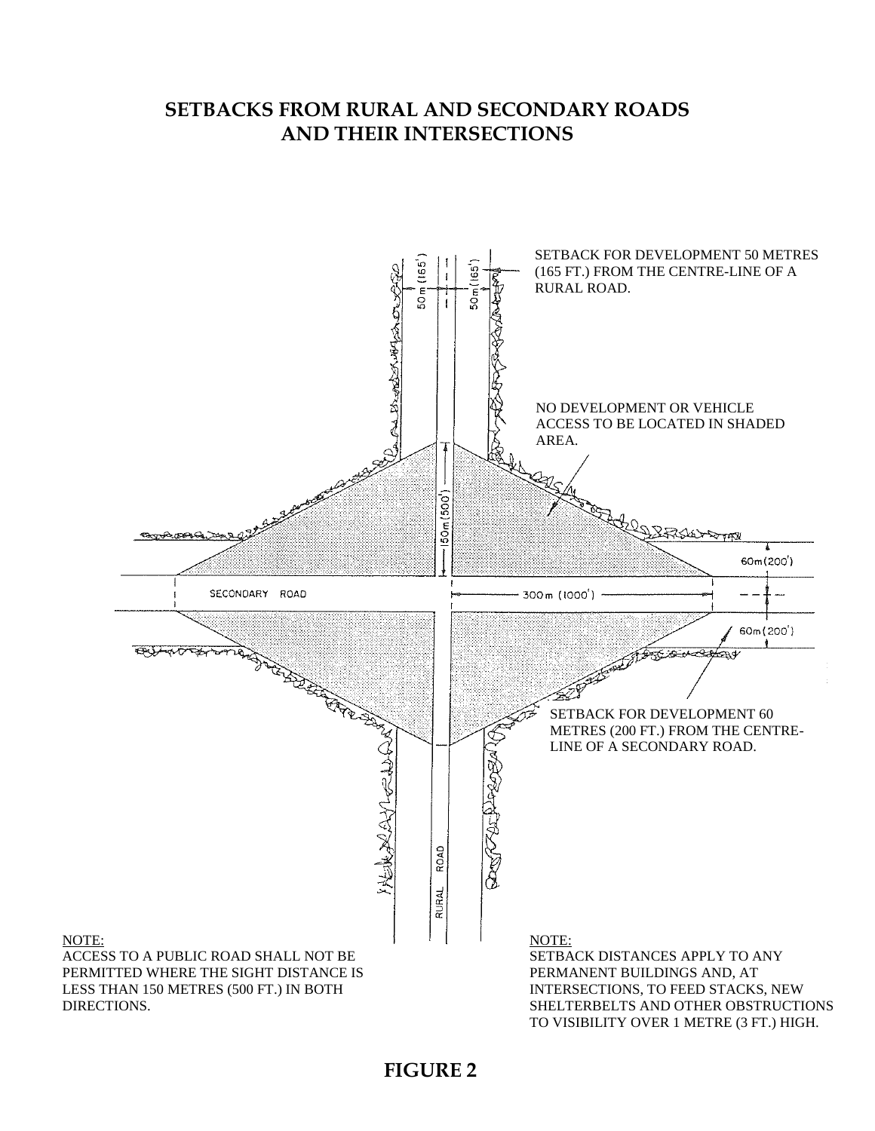### **SETBACKS FROM RURAL AND SECONDARY ROADS AND THEIR INTERSECTIONS**

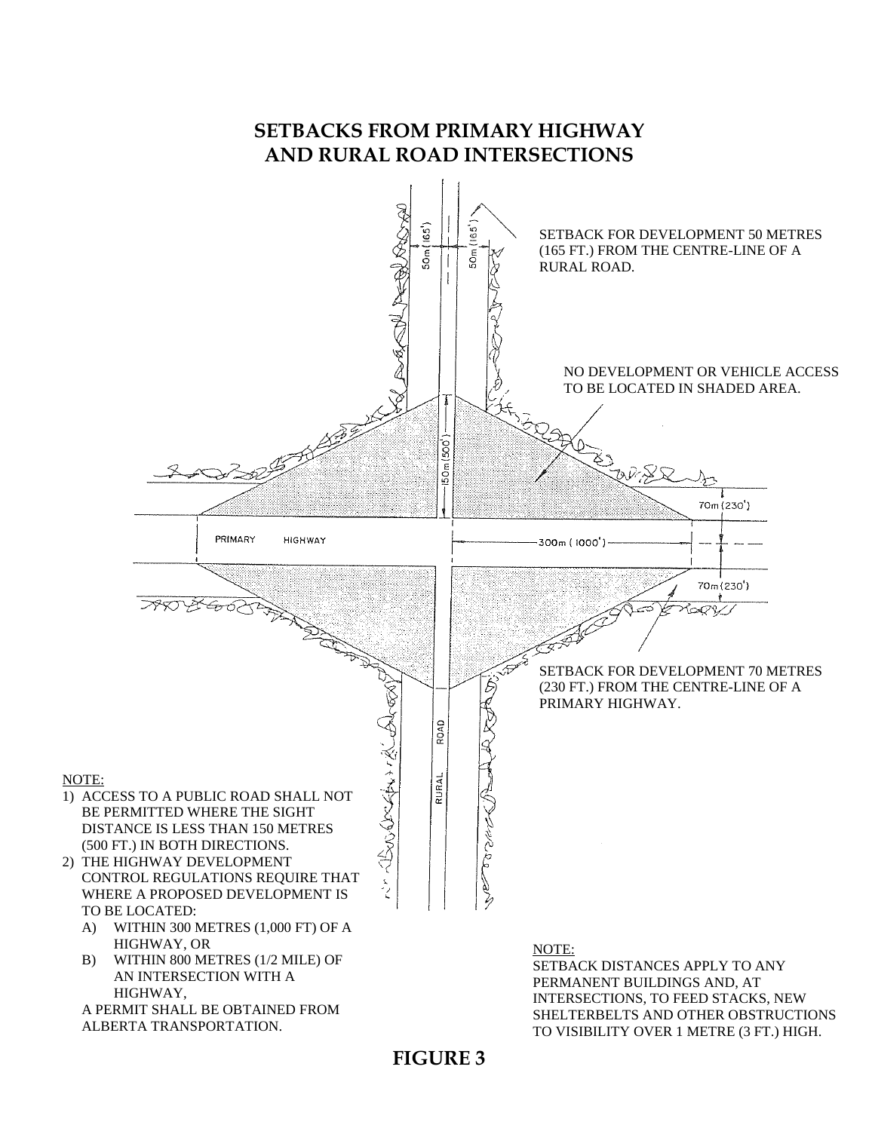## **SETBACKS FROM PRIMARY HIGHWAY AND RURAL ROAD INTERSECTIONS**

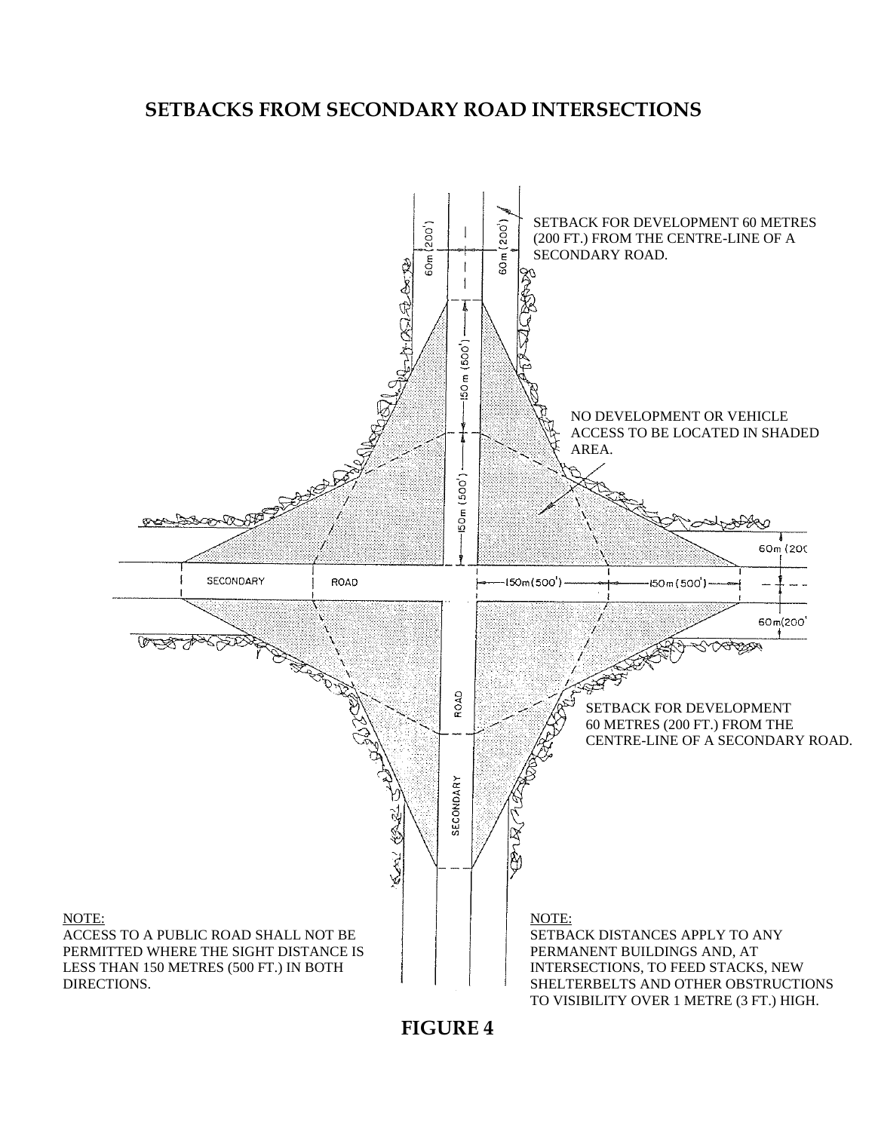#### **SETBACKS FROM SECONDARY ROAD INTERSECTIONS**

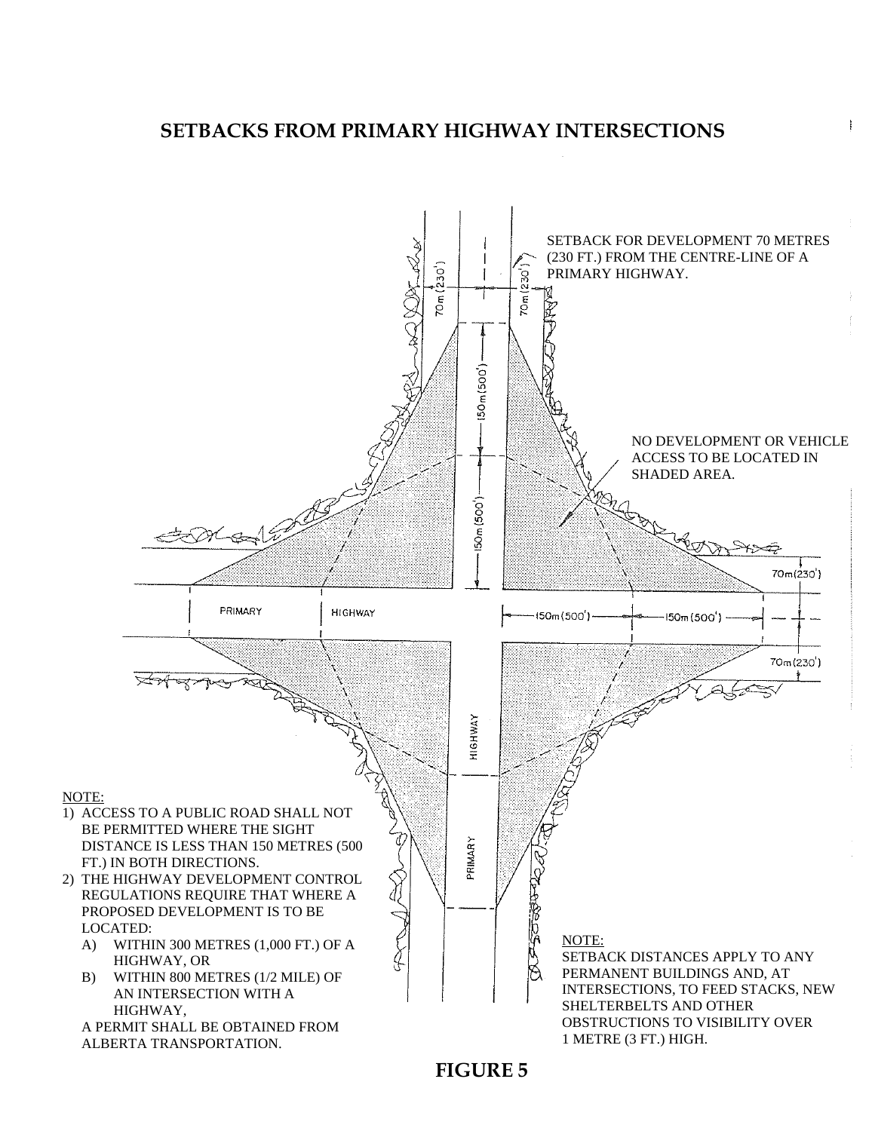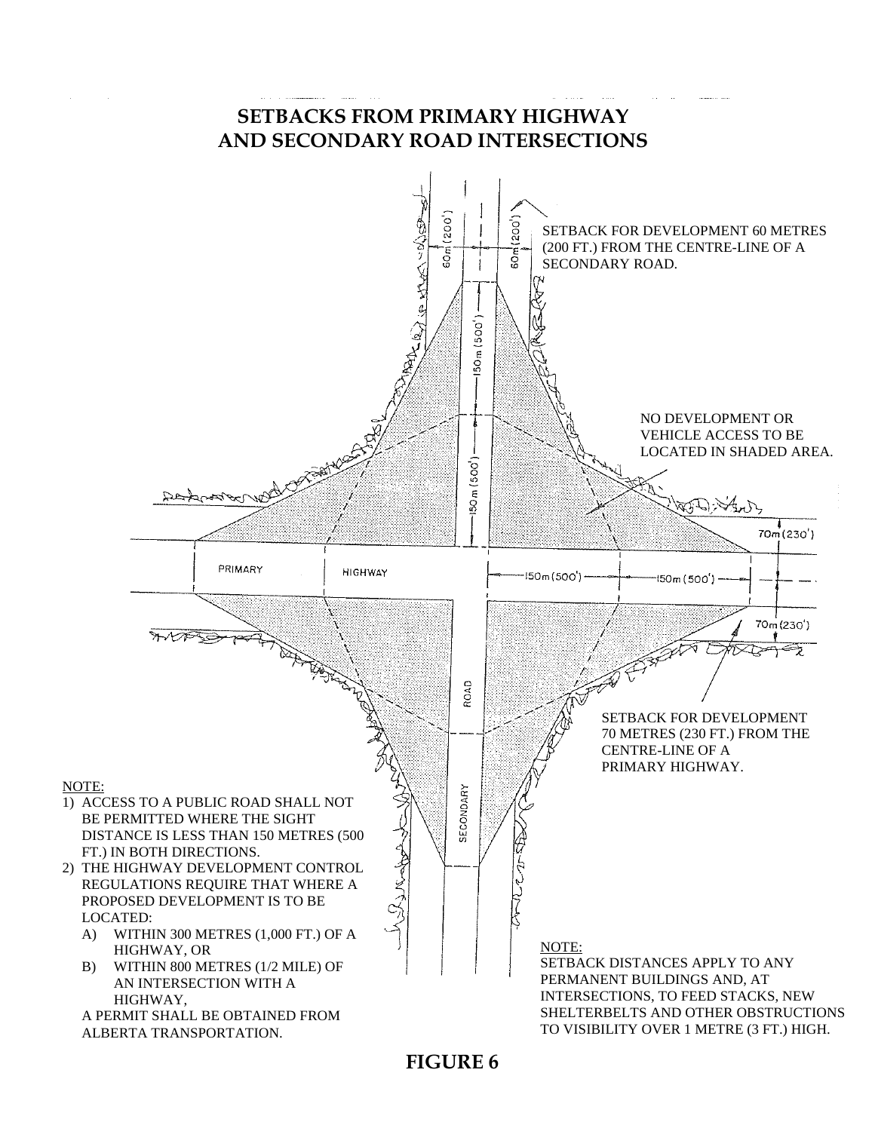### **SETBACKS FROM PRIMARY HIGHWAY AND SECONDARY ROAD INTERSECTIONS**